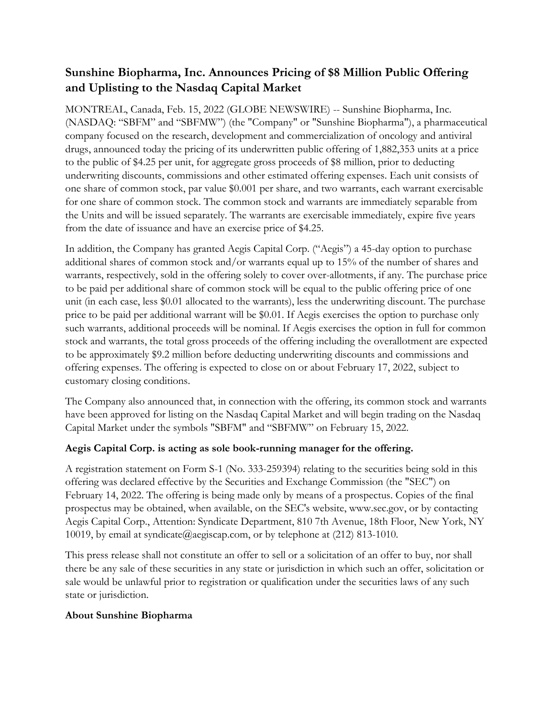# **Sunshine Biopharma, Inc. Announces Pricing of \$8 Million Public Offering and Uplisting to the Nasdaq Capital Market**

MONTREAL, Canada, Feb. 15, 2022 (GLOBE NEWSWIRE) -- Sunshine Biopharma, Inc. (NASDAQ: "SBFM" and "SBFMW") (the "Company" or "Sunshine Biopharma"), a pharmaceutical company focused on the research, development and commercialization of oncology and antiviral drugs, announced today the pricing of its underwritten public offering of 1,882,353 units at a price to the public of \$4.25 per unit, for aggregate gross proceeds of \$8 million, prior to deducting underwriting discounts, commissions and other estimated offering expenses. Each unit consists of one share of common stock, par value \$0.001 per share, and two warrants, each warrant exercisable for one share of common stock. The common stock and warrants are immediately separable from the Units and will be issued separately. The warrants are exercisable immediately, expire five years from the date of issuance and have an exercise price of \$4.25.

In addition, the Company has granted Aegis Capital Corp. ("Aegis") a 45-day option to purchase additional shares of common stock and/or warrants equal up to 15% of the number of shares and warrants, respectively, sold in the offering solely to cover over-allotments, if any. The purchase price to be paid per additional share of common stock will be equal to the public offering price of one unit (in each case, less \$0.01 allocated to the warrants), less the underwriting discount. The purchase price to be paid per additional warrant will be \$0.01. If Aegis exercises the option to purchase only such warrants, additional proceeds will be nominal. If Aegis exercises the option in full for common stock and warrants, the total gross proceeds of the offering including the overallotment are expected to be approximately \$9.2 million before deducting underwriting discounts and commissions and offering expenses. The offering is expected to close on or about February 17, 2022, subject to customary closing conditions.

The Company also announced that, in connection with the offering, its common stock and warrants have been approved for listing on the Nasdaq Capital Market and will begin trading on the Nasdaq Capital Market under the symbols "SBFM" and "SBFMW" on February 15, 2022.

## **Aegis Capital Corp. is acting as sole book-running manager for the offering.**

A registration statement on Form S-1 (No. 333-259394) relating to the securities being sold in this offering was declared effective by the Securities and Exchange Commission (the "SEC") on February 14, 2022. The offering is being made only by means of a prospectus. Copies of the final prospectus may be obtained, when available, on the SEC's website, www.sec.gov, or by contacting Aegis Capital Corp., Attention: Syndicate Department, 810 7th Avenue, 18th Floor, New York, NY 10019, by email at syndicate@aegiscap.com, or by telephone at (212) 813-1010.

This press release shall not constitute an offer to sell or a solicitation of an offer to buy, nor shall there be any sale of these securities in any state or jurisdiction in which such an offer, solicitation or sale would be unlawful prior to registration or qualification under the securities laws of any such state or jurisdiction.

### **About Sunshine Biopharma**